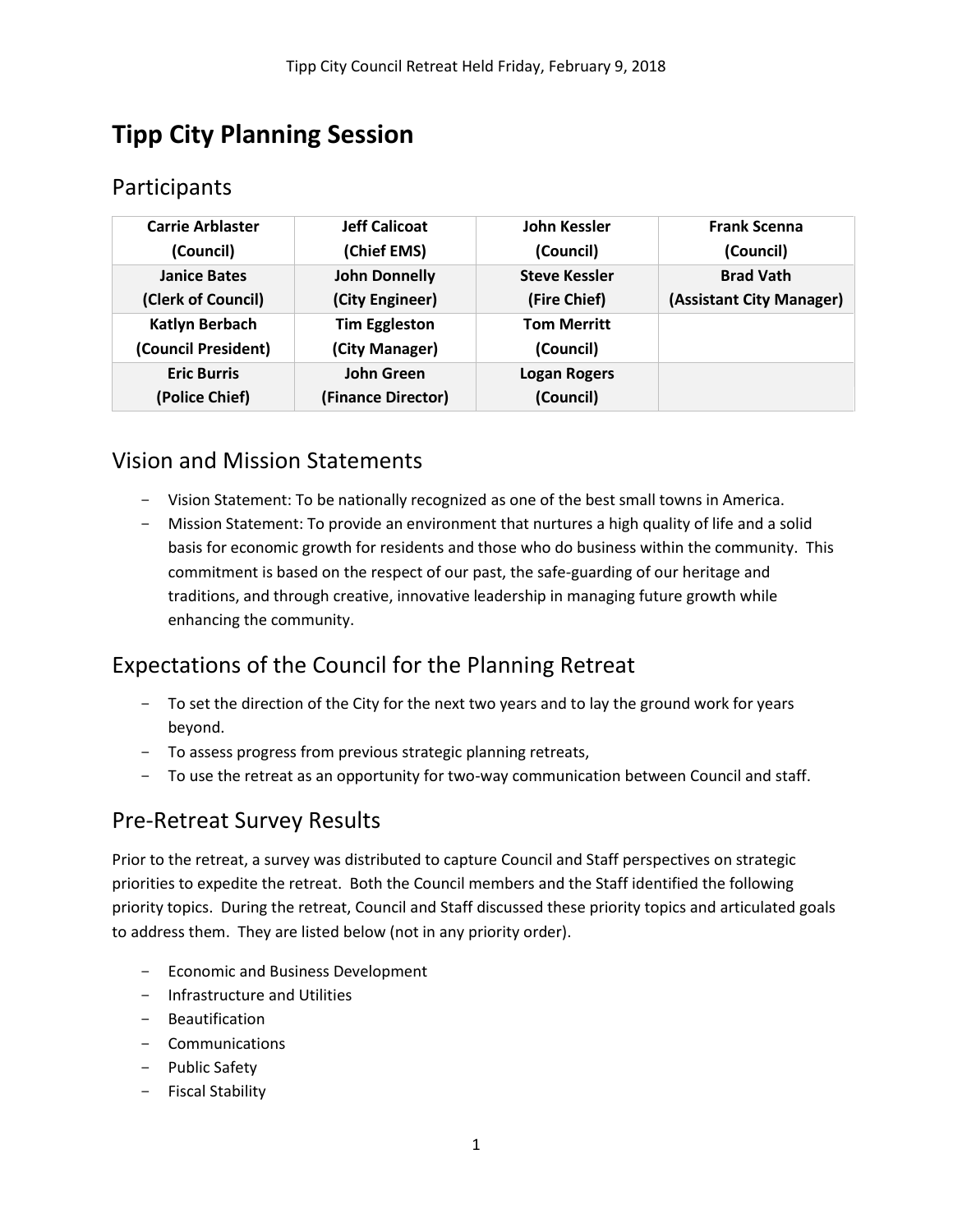# **Tipp City Planning Session**

## Participants

| <b>Carrie Arblaster</b><br>(Council) | <b>Jeff Calicoat</b><br>(Chief EMS) | John Kessler<br>(Council)        | <b>Frank Scenna</b><br>(Council) |
|--------------------------------------|-------------------------------------|----------------------------------|----------------------------------|
| <b>Janice Bates</b>                  | <b>John Donnelly</b>                | <b>Steve Kessler</b>             | <b>Brad Vath</b>                 |
| (Clerk of Council)                   | (City Engineer)                     | (Fire Chief)                     | (Assistant City Manager)         |
| <b>Katlyn Berbach</b>                | <b>Tim Eggleston</b>                | <b>Tom Merritt</b>               |                                  |
| (Council President)                  | (City Manager)                      | (Council)                        |                                  |
| <b>Eric Burris</b><br>(Police Chief) | John Green<br>(Finance Director)    | <b>Logan Rogers</b><br>(Council) |                                  |

## Vision and Mission Statements

- Vision Statement: To be nationally recognized as one of the best small towns in America.
- Mission Statement: To provide an environment that nurtures a high quality of life and a solid basis for economic growth for residents and those who do business within the community. This commitment is based on the respect of our past, the safe-guarding of our heritage and traditions, and through creative, innovative leadership in managing future growth while enhancing the community.

## Expectations of the Council for the Planning Retreat

- To set the direction of the City for the next two years and to lay the ground work for years beyond.
- To assess progress from previous strategic planning retreats,
- To use the retreat as an opportunity for two-way communication between Council and staff.

## Pre-Retreat Survey Results

Prior to the retreat, a survey was distributed to capture Council and Staff perspectives on strategic priorities to expedite the retreat. Both the Council members and the Staff identified the following priority topics. During the retreat, Council and Staff discussed these priority topics and articulated goals to address them. They are listed below (not in any priority order).

- Economic and Business Development
- Infrastructure and Utilities
- Beautification
- Communications
- Public Safety
- Fiscal Stability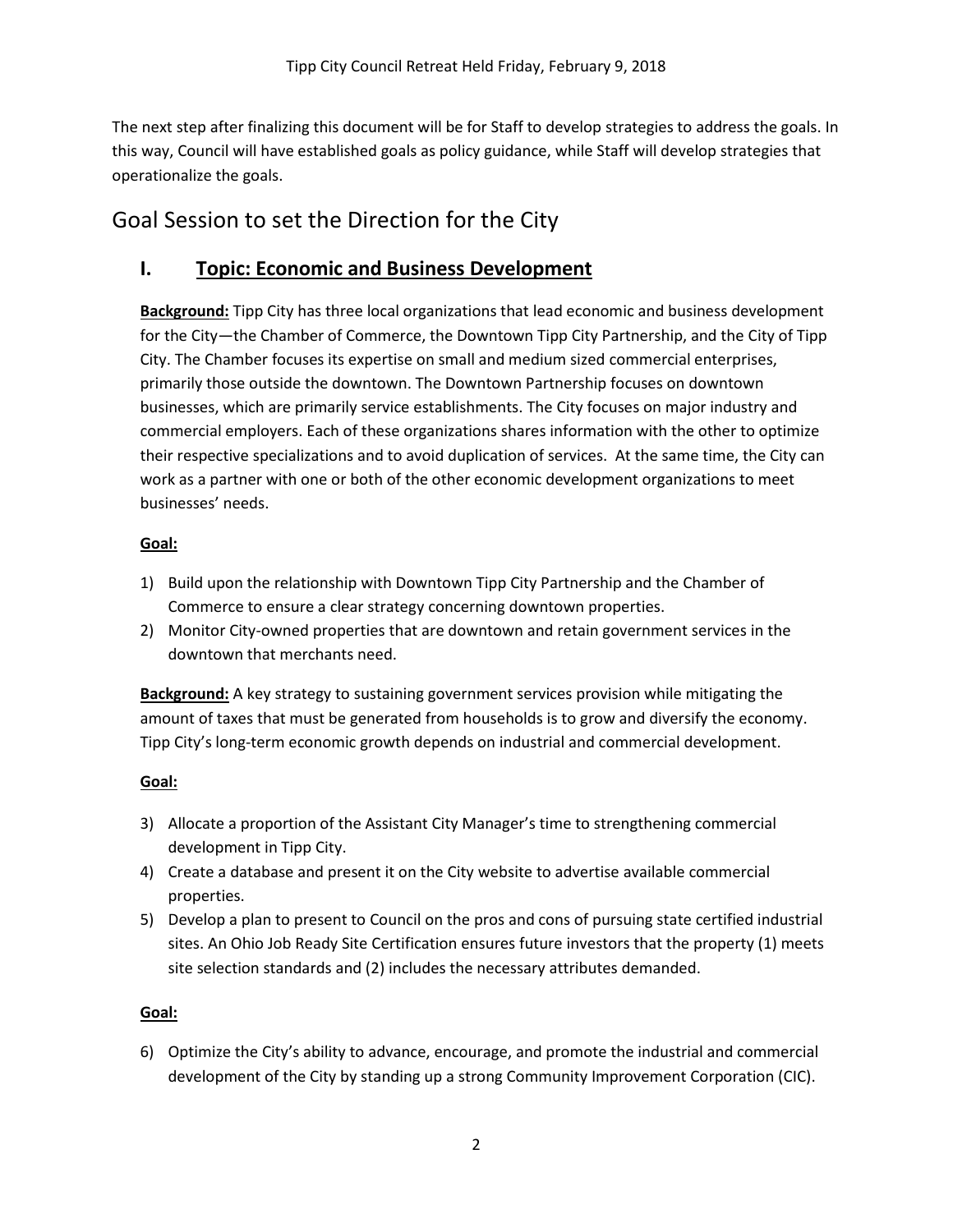The next step after finalizing this document will be for Staff to develop strategies to address the goals. In this way, Council will have established goals as policy guidance, while Staff will develop strategies that operationalize the goals.

## Goal Session to set the Direction for the City

### **I. Topic: Economic and Business Development**

**Background:** Tipp City has three local organizations that lead economic and business development for the City—the Chamber of Commerce, the Downtown Tipp City Partnership, and the City of Tipp City. The Chamber focuses its expertise on small and medium sized commercial enterprises, primarily those outside the downtown. The Downtown Partnership focuses on downtown businesses, which are primarily service establishments. The City focuses on major industry and commercial employers. Each of these organizations shares information with the other to optimize their respective specializations and to avoid duplication of services. At the same time, the City can work as a partner with one or both of the other economic development organizations to meet businesses' needs.

#### **Goal:**

- 1) Build upon the relationship with Downtown Tipp City Partnership and the Chamber of Commerce to ensure a clear strategy concerning downtown properties.
- 2) Monitor City-owned properties that are downtown and retain government services in the downtown that merchants need.

**Background:** A key strategy to sustaining government services provision while mitigating the amount of taxes that must be generated from households is to grow and diversify the economy. Tipp City's long-term economic growth depends on industrial and commercial development.

#### **Goal:**

- 3) Allocate a proportion of the Assistant City Manager's time to strengthening commercial development in Tipp City.
- 4) Create a database and present it on the City website to advertise available commercial properties.
- 5) Develop a plan to present to Council on the pros and cons of pursuing state certified industrial sites. An Ohio Job Ready Site Certification ensures future investors that the property (1) meets site selection standards and (2) includes the necessary attributes demanded.

#### **Goal:**

6) Optimize the City's ability to advance, encourage, and promote the industrial and commercial development of the City by standing up a strong Community Improvement Corporation (CIC).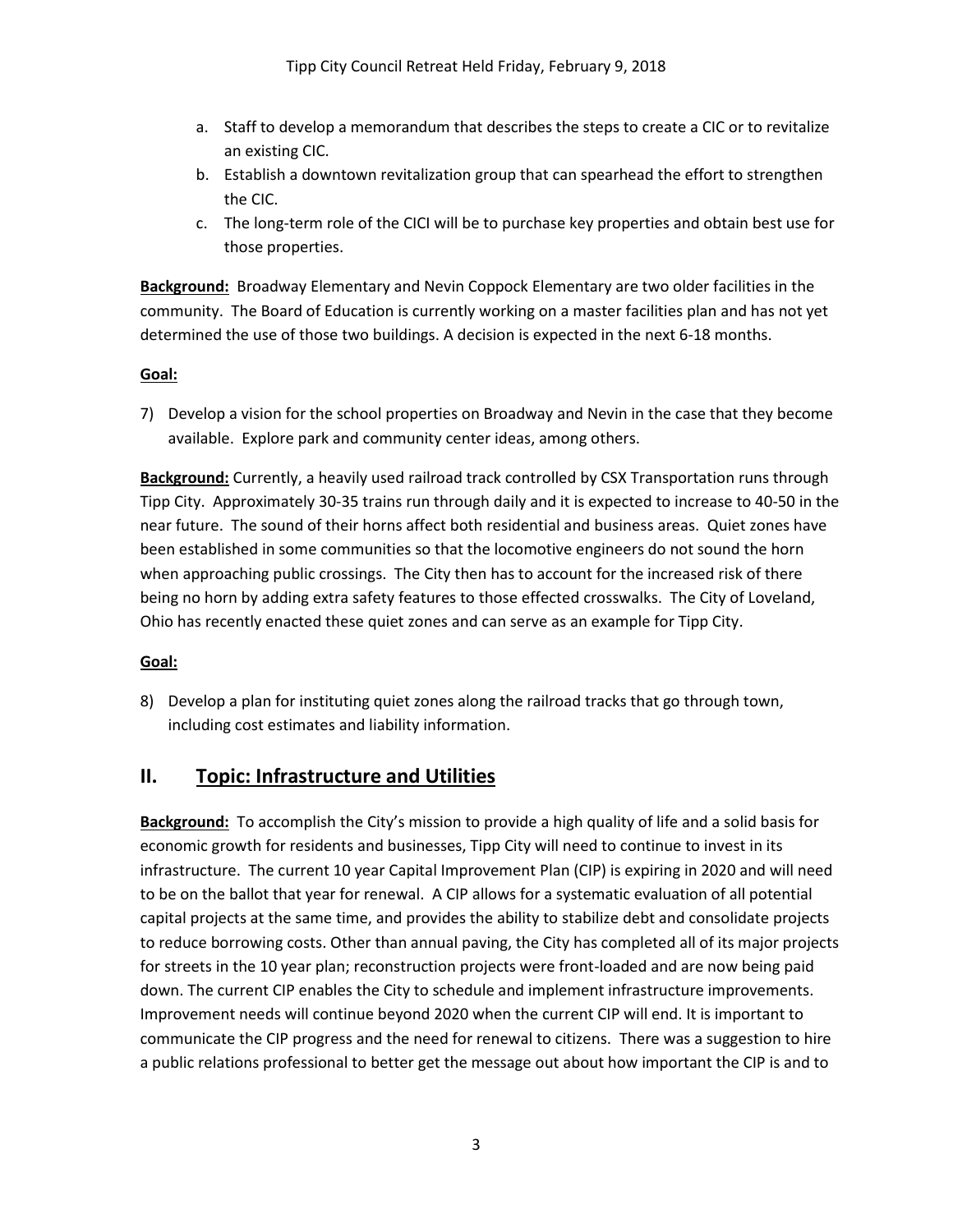- a. Staff to develop a memorandum that describes the steps to create a CIC or to revitalize an existing CIC.
- b. Establish a downtown revitalization group that can spearhead the effort to strengthen the CIC.
- c. The long-term role of the CICI will be to purchase key properties and obtain best use for those properties.

**Background:** Broadway Elementary and Nevin Coppock Elementary are two older facilities in the community. The Board of Education is currently working on a master facilities plan and has not yet determined the use of those two buildings. A decision is expected in the next 6-18 months.

#### **Goal:**

7) Develop a vision for the school properties on Broadway and Nevin in the case that they become available. Explore park and community center ideas, among others.

**Background:** Currently, a heavily used railroad track controlled by CSX Transportation runs through Tipp City. Approximately 30-35 trains run through daily and it is expected to increase to 40-50 in the near future. The sound of their horns affect both residential and business areas. Quiet zones have been established in some communities so that the locomotive engineers do not sound the horn when approaching public crossings. The City then has to account for the increased risk of there being no horn by adding extra safety features to those effected crosswalks. The City of Loveland, Ohio has recently enacted these quiet zones and can serve as an example for Tipp City.

#### **Goal:**

8) Develop a plan for instituting quiet zones along the railroad tracks that go through town, including cost estimates and liability information.

### **II. Topic: Infrastructure and Utilities**

**Background:** To accomplish the City's mission to provide a high quality of life and a solid basis for economic growth for residents and businesses, Tipp City will need to continue to invest in its infrastructure. The current 10 year Capital Improvement Plan (CIP) is expiring in 2020 and will need to be on the ballot that year for renewal. A CIP allows for a systematic evaluation of all potential capital projects at the same time, and provides the ability to stabilize debt and consolidate projects to reduce borrowing costs. Other than annual paving, the City has completed all of its major projects for streets in the 10 year plan; reconstruction projects were front-loaded and are now being paid down. The current CIP enables the City to schedule and implement infrastructure improvements. Improvement needs will continue beyond 2020 when the current CIP will end. It is important to communicate the CIP progress and the need for renewal to citizens. There was a suggestion to hire a public relations professional to better get the message out about how important the CIP is and to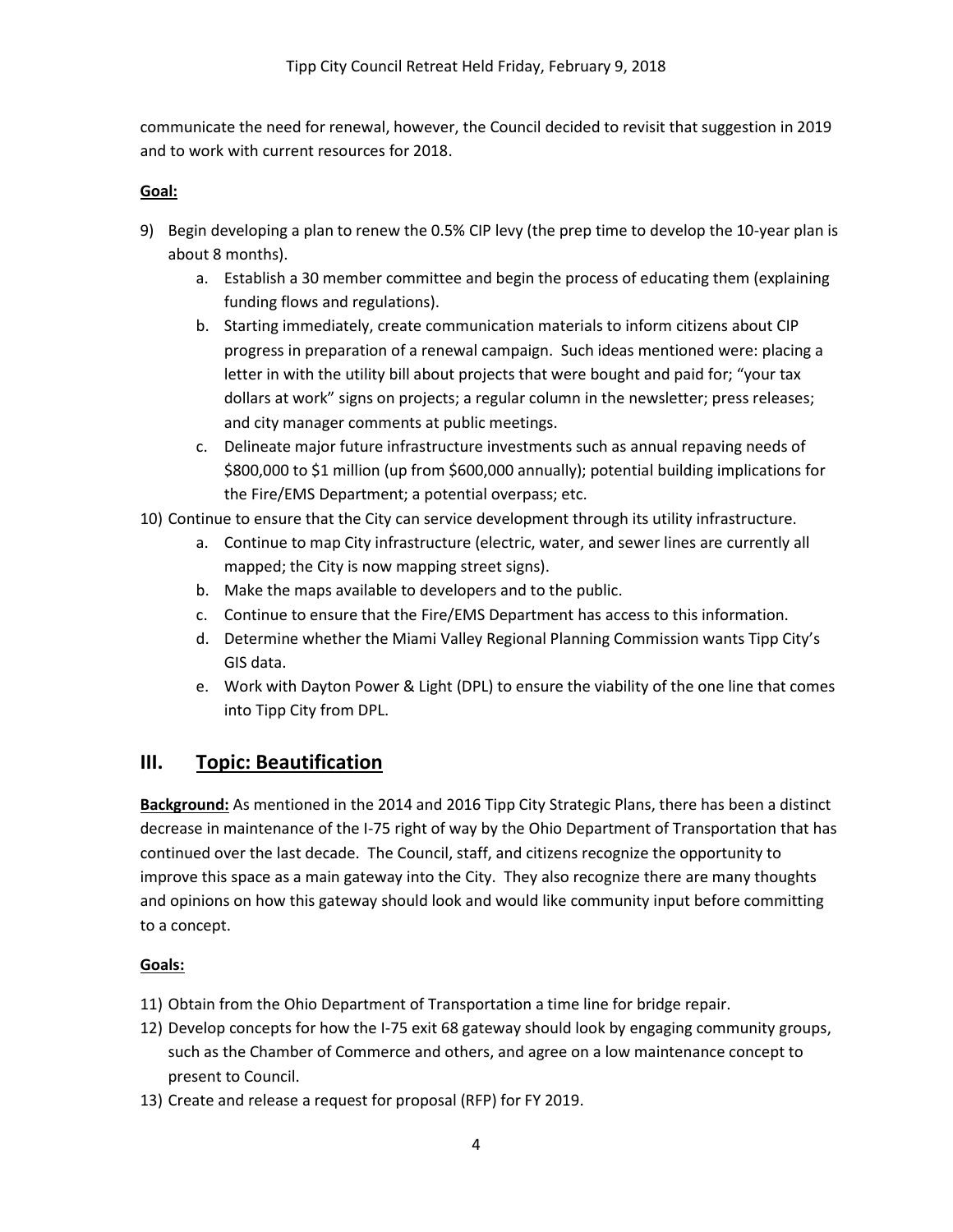communicate the need for renewal, however, the Council decided to revisit that suggestion in 2019 and to work with current resources for 2018.

#### **Goal:**

- 9) Begin developing a plan to renew the 0.5% CIP levy (the prep time to develop the 10-year plan is about 8 months).
	- a. Establish a 30 member committee and begin the process of educating them (explaining funding flows and regulations).
	- b. Starting immediately, create communication materials to inform citizens about CIP progress in preparation of a renewal campaign. Such ideas mentioned were: placing a letter in with the utility bill about projects that were bought and paid for; "your tax dollars at work" signs on projects; a regular column in the newsletter; press releases; and city manager comments at public meetings.
	- c. Delineate major future infrastructure investments such as annual repaving needs of \$800,000 to \$1 million (up from \$600,000 annually); potential building implications for the Fire/EMS Department; a potential overpass; etc.
- 10) Continue to ensure that the City can service development through its utility infrastructure.
	- a. Continue to map City infrastructure (electric, water, and sewer lines are currently all mapped; the City is now mapping street signs).
	- b. Make the maps available to developers and to the public.
	- c. Continue to ensure that the Fire/EMS Department has access to this information.
	- d. Determine whether the Miami Valley Regional Planning Commission wants Tipp City's GIS data.
	- e. Work with Dayton Power & Light (DPL) to ensure the viability of the one line that comes into Tipp City from DPL.

### **III. Topic: Beautification**

**Background:** As mentioned in the 2014 and 2016 Tipp City Strategic Plans, there has been a distinct decrease in maintenance of the I-75 right of way by the Ohio Department of Transportation that has continued over the last decade. The Council, staff, and citizens recognize the opportunity to improve this space as a main gateway into the City. They also recognize there are many thoughts and opinions on how this gateway should look and would like community input before committing to a concept.

#### **Goals:**

- 11) Obtain from the Ohio Department of Transportation a time line for bridge repair.
- 12) Develop concepts for how the I-75 exit 68 gateway should look by engaging community groups, such as the Chamber of Commerce and others, and agree on a low maintenance concept to present to Council.
- 13) Create and release a request for proposal (RFP) for FY 2019.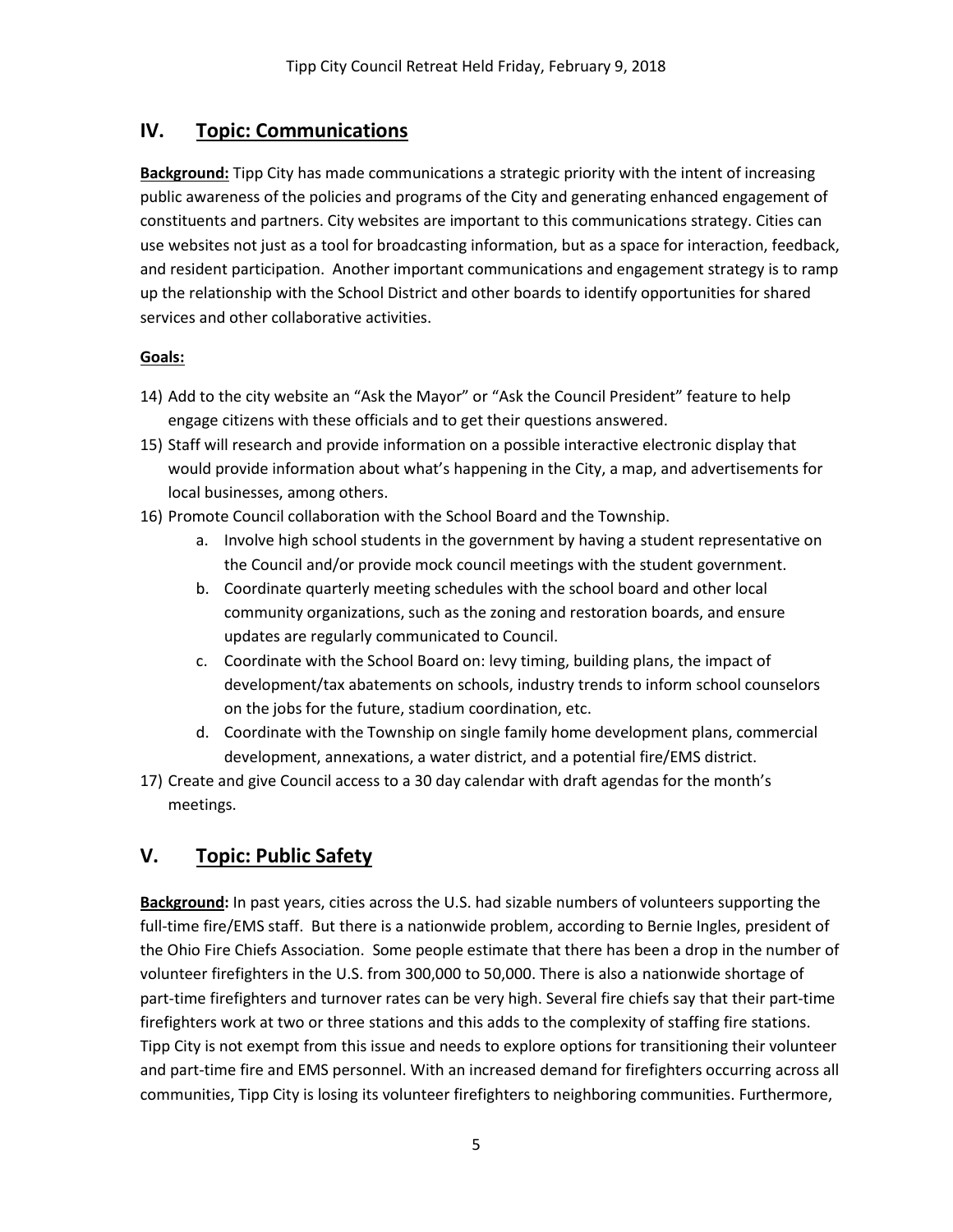## **IV. Topic: Communications**

**Background:** Tipp City has made communications a strategic priority with the intent of increasing public awareness of the policies and programs of the City and generating enhanced engagement of constituents and partners. City websites are important to this communications strategy. Cities can use websites not just as a tool for broadcasting information, but as a space for interaction, feedback, and resident participation. Another important communications and engagement strategy is to ramp up the relationship with the School District and other boards to identify opportunities for shared services and other collaborative activities.

#### **Goals:**

- 14) Add to the city website an "Ask the Mayor" or "Ask the Council President" feature to help engage citizens with these officials and to get their questions answered.
- 15) Staff will research and provide information on a possible interactive electronic display that would provide information about what's happening in the City, a map, and advertisements for local businesses, among others.
- 16) Promote Council collaboration with the School Board and the Township.
	- a. Involve high school students in the government by having a student representative on the Council and/or provide mock council meetings with the student government.
	- b. Coordinate quarterly meeting schedules with the school board and other local community organizations, such as the zoning and restoration boards, and ensure updates are regularly communicated to Council.
	- c. Coordinate with the School Board on: levy timing, building plans, the impact of development/tax abatements on schools, industry trends to inform school counselors on the jobs for the future, stadium coordination, etc.
	- d. Coordinate with the Township on single family home development plans, commercial development, annexations, a water district, and a potential fire/EMS district.
- 17) Create and give Council access to a 30 day calendar with draft agendas for the month's meetings.

### **V. Topic: Public Safety**

**Background:** In past years, cities across the U.S. had sizable numbers of volunteers supporting the full-time fire/EMS staff. But there is a nationwide problem, according to Bernie Ingles, president of the Ohio Fire Chiefs Association. Some people estimate that there has been a drop in the number of volunteer firefighters in the U.S. from 300,000 to 50,000. There is also a nationwide shortage of part-time firefighters and turnover rates can be very high. Several fire chiefs say that their part-time firefighters work at two or three stations and this adds to the complexity of staffing fire stations. Tipp City is not exempt from this issue and needs to explore options for transitioning their volunteer and part-time fire and EMS personnel. With an increased demand for firefighters occurring across all communities, Tipp City is losing its volunteer firefighters to neighboring communities. Furthermore,